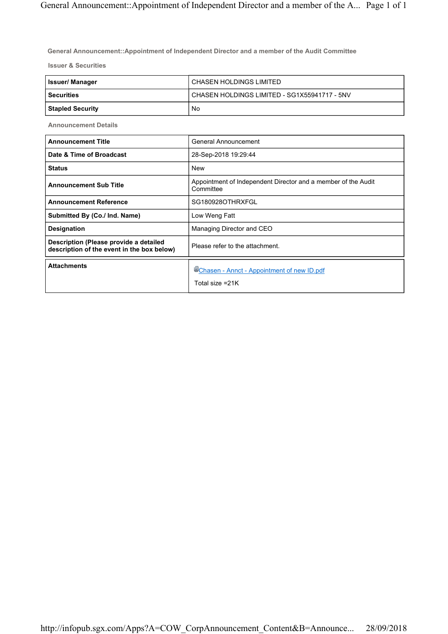**General Announcement::Appointment of Independent Director and a member of the Audit Committee**

**Issuer & Securities**

| <b>Issuer/Manager</b> | CHASEN HOLDINGS LIMITED                      |
|-----------------------|----------------------------------------------|
| l Securities          | CHASEN HOLDINGS LIMITED - SG1X55941717 - 5NV |
| Stapled Security      | No                                           |

**Announcement Details**

| <b>Announcement Title</b>                                                            | General Announcement                                                       |
|--------------------------------------------------------------------------------------|----------------------------------------------------------------------------|
| Date & Time of Broadcast                                                             | 28-Sep-2018 19:29:44                                                       |
| <b>Status</b>                                                                        | New                                                                        |
| <b>Announcement Sub Title</b>                                                        | Appointment of Independent Director and a member of the Audit<br>Committee |
| <b>Announcement Reference</b>                                                        | SG180928OTHRXFGL                                                           |
| Submitted By (Co./ Ind. Name)                                                        | Low Weng Fatt                                                              |
| Designation                                                                          | Managing Director and CEO                                                  |
| Description (Please provide a detailed<br>description of the event in the box below) | Please refer to the attachment.                                            |
| <b>Attachments</b>                                                                   | UChasen - Annct - Appointment of new ID.pdf<br>Total size =21K             |